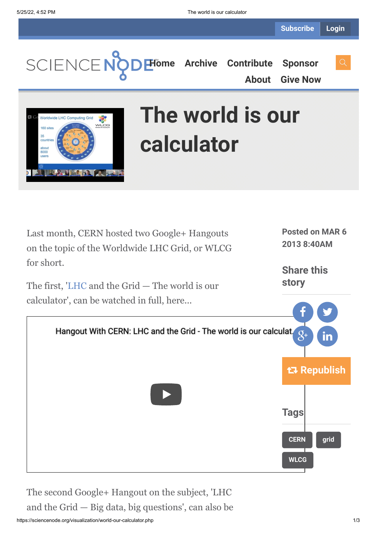**[Home](https://sciencenode.org/) [Archive](https://sciencenode.org/archive/index.php) [Contribute](https://sciencenode.org/contribute/index.php) [Sponsor](https://sciencenode.org/sponsor/index.php)**

**[About](https://sciencenode.org/about/index.php) [Give Now](https://sciencenode.org/donate/index.php)**



# **The world is our calculator**

Last month, CERN hosted two Google+ Hangouts on the topic of the Worldwide LHC Grid, or WLCG for short. The first, '[LHC](http://public.web.cern.ch/public/en/lhc/lhc-en.html) and the Grid — The world is our calculator', can be watched in full, here... Hangout With CERN: LHC and the Grid - The world is our calculat.  $8^{\circ}$  and  $8^{\circ}$ **[CERN](https://sciencenode.org/tag/?tag=CERN) [grid](https://sciencenode.org/tag/?tag=grid) [WLCG](https://sciencenode.org/tag/?tag=WLCG) Posted on MAR 6 2013 8:40AM Share this story** f **Y Republish Tags**

The second Google+ Hangout on the subject, 'LHC and the Grid — Big data, big questions', can also be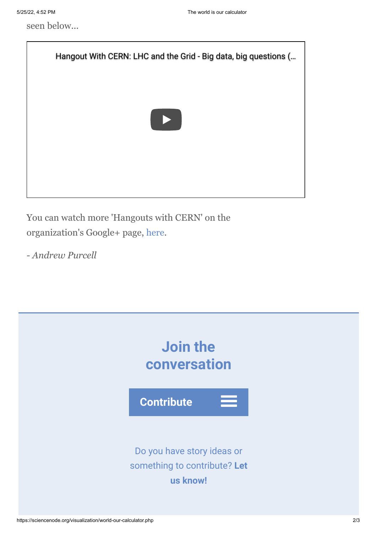seen below...



You can watch more 'Hangouts with CERN' on the organization's Google+ page, [here](https://plus.google.com/+CERN/posts).

*- Andrew Purcell*